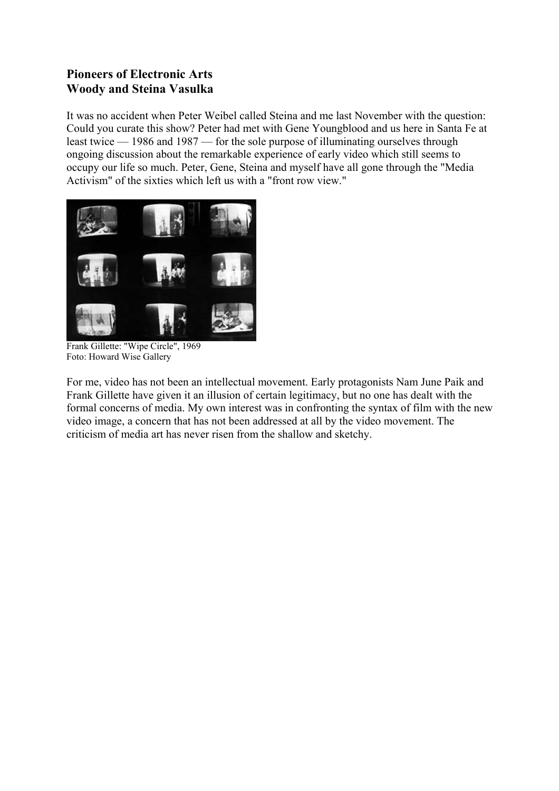# **Pioneers of Electronic Arts Woody and Steina Vasulka**

It was no accident when Peter Weibel called Steina and me last November with the question: Could you curate this show? Peter had met with Gene Youngblood and us here in Santa Fe at least twice — 1986 and 1987 — for the sole purpose of illuminating ourselves through ongoing discussion about the remarkable experience of early video which still seems to occupy our life so much. Peter, Gene, Steina and myself have all gone through the "Media Activism" of the sixties which left us with a "front row view."



Frank Gillette: "Wipe Circle", 1969 Foto: Howard Wise Gallery

For me, video has not been an intellectual movement. Early protagonists Nam June Paik and Frank Gillette have given it an illusion of certain legitimacy, but no one has dealt with the formal concerns of media. My own interest was in confronting the syntax of film with the new video image, a concern that has not been addressed at all by the video movement. The criticism of media art has never risen from the shallow and sketchy.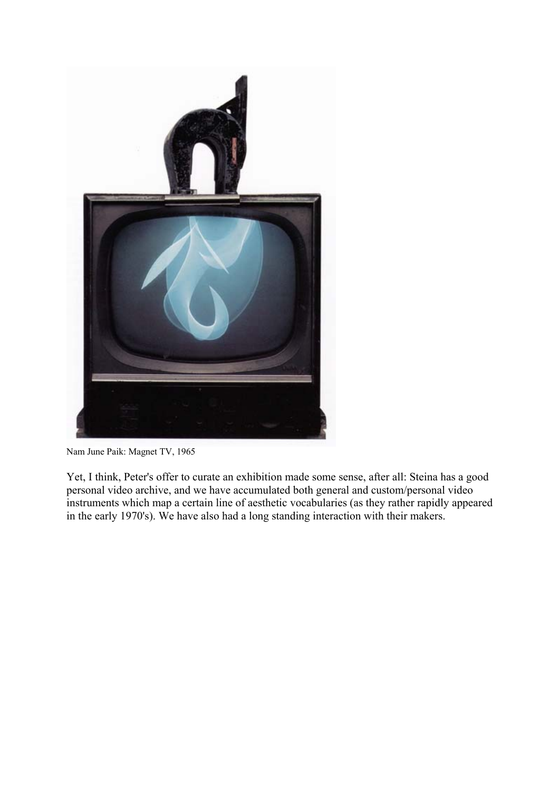

Nam June Paik: Magnet TV, 1965

Yet, I think, Peter's offer to curate an exhibition made some sense, after all: Steina has a good personal video archive, and we have accumulated both general and custom/personal video instruments which map a certain line of aesthetic vocabularies (as they rather rapidly appeared in the early 1970's). We have also had a long standing interaction with their makers.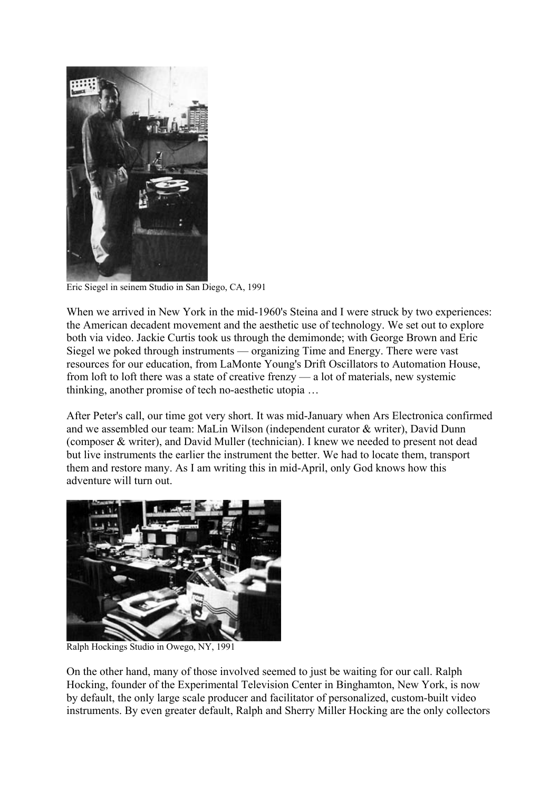

Eric Siegel in seinem Studio in San Diego, CA, 1991

When we arrived in New York in the mid-1960's Steina and I were struck by two experiences: the American decadent movement and the aesthetic use of technology. We set out to explore both via video. Jackie Curtis took us through the demimonde; with George Brown and Eric Siegel we poked through instruments — organizing Time and Energy. There were vast resources for our education, from LaMonte Young's Drift Oscillators to Automation House, from loft to loft there was a state of creative frenzy — a lot of materials, new systemic thinking, another promise of tech no-aesthetic utopia …

After Peter's call, our time got very short. It was mid-January when Ars Electronica confirmed and we assembled our team: MaLin Wilson (independent curator & writer), David Dunn (composer & writer), and David Muller (technician). I knew we needed to present not dead but live instruments the earlier the instrument the better. We had to locate them, transport them and restore many. As I am writing this in mid-April, only God knows how this adventure will turn out.



Ralph Hockings Studio in Owego, NY, 1991

On the other hand, many of those involved seemed to just be waiting for our call. Ralph Hocking, founder of the Experimental Television Center in Binghamton, New York, is now by default, the only large scale producer and facilitator of personalized, custom-built video instruments. By even greater default, Ralph and Sherry Miller Hocking are the only collectors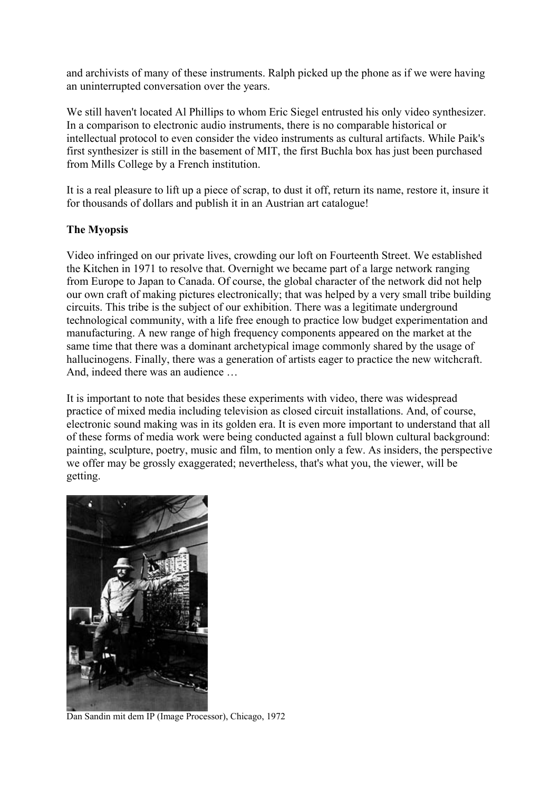and archivists of many of these instruments. Ralph picked up the phone as if we were having an uninterrupted conversation over the years.

We still haven't located Al Phillips to whom Eric Siegel entrusted his only video synthesizer. In a comparison to electronic audio instruments, there is no comparable historical or intellectual protocol to even consider the video instruments as cultural artifacts. While Paik's first synthesizer is still in the basement of MIT, the first Buchla box has just been purchased from Mills College by a French institution.

It is a real pleasure to lift up a piece of scrap, to dust it off, return its name, restore it, insure it for thousands of dollars and publish it in an Austrian art catalogue!

## **The Myopsis**

Video infringed on our private lives, crowding our loft on Fourteenth Street. We established the Kitchen in 1971 to resolve that. Overnight we became part of a large network ranging from Europe to Japan to Canada. Of course, the global character of the network did not help our own craft of making pictures electronically; that was helped by a very small tribe building circuits. This tribe is the subject of our exhibition. There was a legitimate underground technological community, with a life free enough to practice low budget experimentation and manufacturing. A new range of high frequency components appeared on the market at the same time that there was a dominant archetypical image commonly shared by the usage of hallucinogens. Finally, there was a generation of artists eager to practice the new witchcraft. And, indeed there was an audience …

It is important to note that besides these experiments with video, there was widespread practice of mixed media including television as closed circuit installations. And, of course, electronic sound making was in its golden era. It is even more important to understand that all of these forms of media work were being conducted against a full blown cultural background: painting, sculpture, poetry, music and film, to mention only a few. As insiders, the perspective we offer may be grossly exaggerated; nevertheless, that's what you, the viewer, will be getting.



Dan Sandin mit dem IP (Image Processor), Chicago, 1972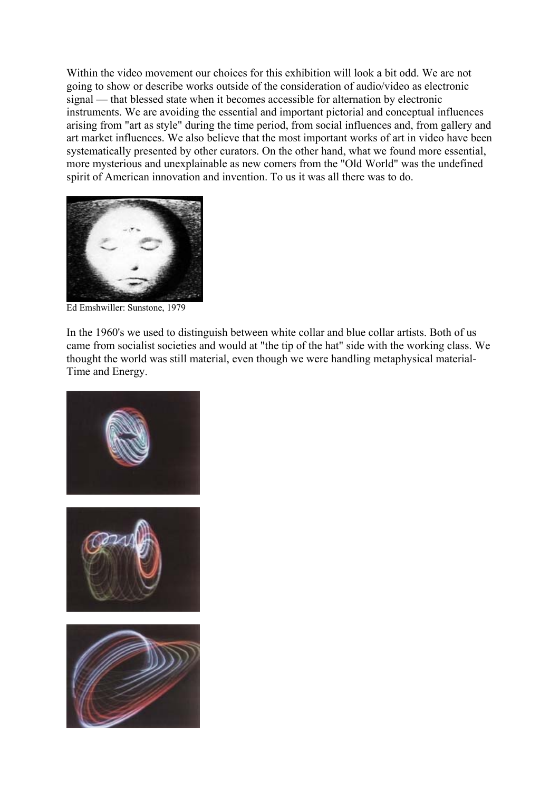Within the video movement our choices for this exhibition will look a bit odd. We are not going to show or describe works outside of the consideration of audio/video as electronic signal — that blessed state when it becomes accessible for alternation by electronic instruments. We are avoiding the essential and important pictorial and conceptual influences arising from "art as style" during the time period, from social influences and, from gallery and art market influences. We also believe that the most important works of art in video have been systematically presented by other curators. On the other hand, what we found more essential, more mysterious and unexplainable as new comers from the "Old World" was the undefined spirit of American innovation and invention. To us it was all there was to do.



Ed Emshwiller: Sunstone, 1979

In the 1960's we used to distinguish between white collar and blue collar artists. Both of us came from socialist societies and would at "the tip of the hat" side with the working class. We thought the world was still material, even though we were handling metaphysical material-Time and Energy.

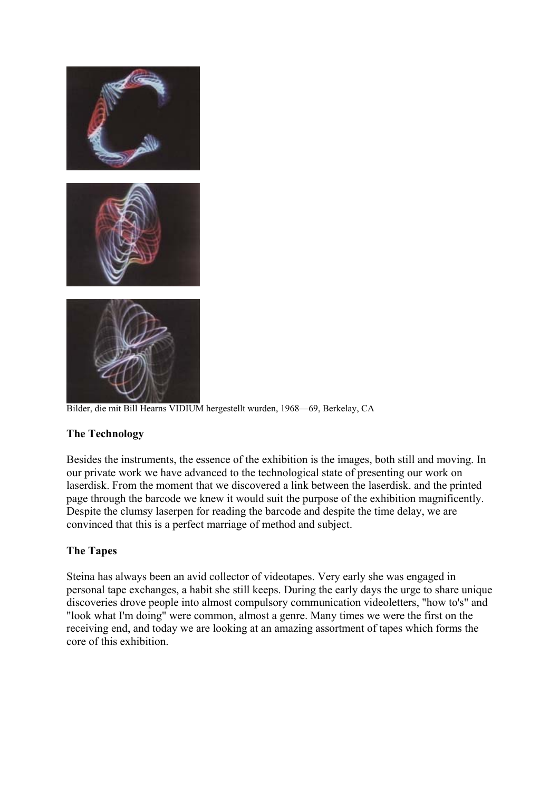

Bilder, die mit Bill Hearns VIDIUM hergestellt wurden, 1968—69, Berkelay, CA

## **The Technology**

Besides the instruments, the essence of the exhibition is the images, both still and moving. In our private work we have advanced to the technological state of presenting our work on laserdisk. From the moment that we discovered a link between the laserdisk. and the printed page through the barcode we knew it would suit the purpose of the exhibition magnificently. Despite the clumsy laserpen for reading the barcode and despite the time delay, we are convinced that this is a perfect marriage of method and subject.

### **The Tapes**

Steina has always been an avid collector of videotapes. Very early she was engaged in personal tape exchanges, a habit she still keeps. During the early days the urge to share unique discoveries drove people into almost compulsory communication videoletters, "how to's" and "look what I'm doing" were common, almost a genre. Many times we were the first on the receiving end, and today we are looking at an amazing assortment of tapes which forms the core of this exhibition.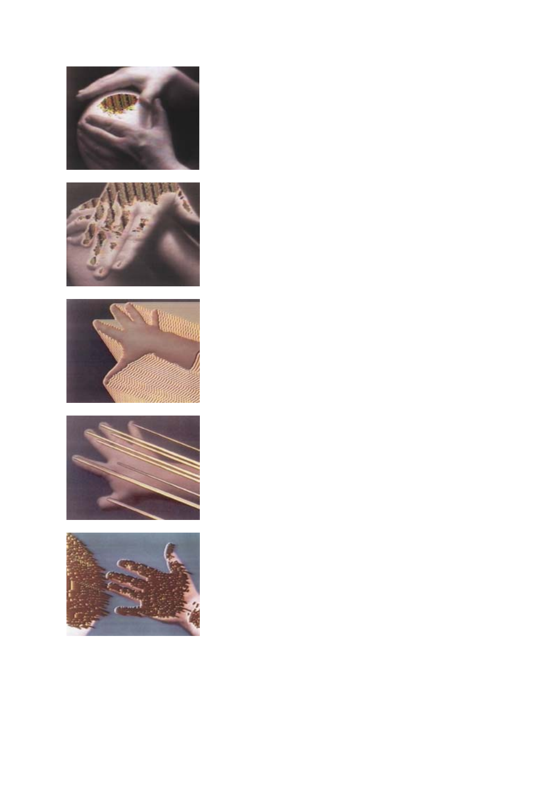







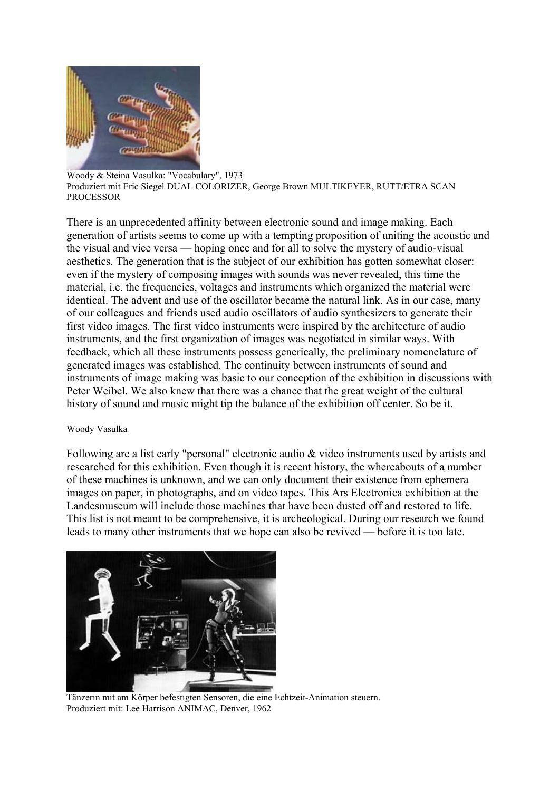

Woody & Steina Vasulka: "Vocabulary", 1973 Produziert mit Eric Siegel DUAL COLORIZER, George Brown MULTIKEYER, RUTT/ETRA SCAN PROCESSOR

There is an unprecedented affinity between electronic sound and image making. Each generation of artists seems to come up with a tempting proposition of uniting the acoustic and the visual and vice versa — hoping once and for all to solve the mystery of audio-visual aesthetics. The generation that is the subject of our exhibition has gotten somewhat closer: even if the mystery of composing images with sounds was never revealed, this time the material, i.e. the frequencies, voltages and instruments which organized the material were identical. The advent and use of the oscillator became the natural link. As in our case, many of our colleagues and friends used audio oscillators of audio synthesizers to generate their first video images. The first video instruments were inspired by the architecture of audio instruments, and the first organization of images was negotiated in similar ways. With feedback, which all these instruments possess generically, the preliminary nomenclature of generated images was established. The continuity between instruments of sound and instruments of image making was basic to our conception of the exhibition in discussions with Peter Weibel. We also knew that there was a chance that the great weight of the cultural history of sound and music might tip the balance of the exhibition off center. So be it.

#### Woody Vasulka

Following are a list early "personal" electronic audio & video instruments used by artists and researched for this exhibition. Even though it is recent history, the whereabouts of a number of these machines is unknown, and we can only document their existence from ephemera images on paper, in photographs, and on video tapes. This Ars Electronica exhibition at the Landesmuseum will include those machines that have been dusted off and restored to life. This list is not meant to be comprehensive, it is archeological. During our research we found leads to many other instruments that we hope can also be revived — before it is too late.



Tänzerin mit am Körper befestigten Sensoren, die eine Echtzeit-Animation steuern. Produziert mit: Lee Harrison ANIMAC, Denver, 1962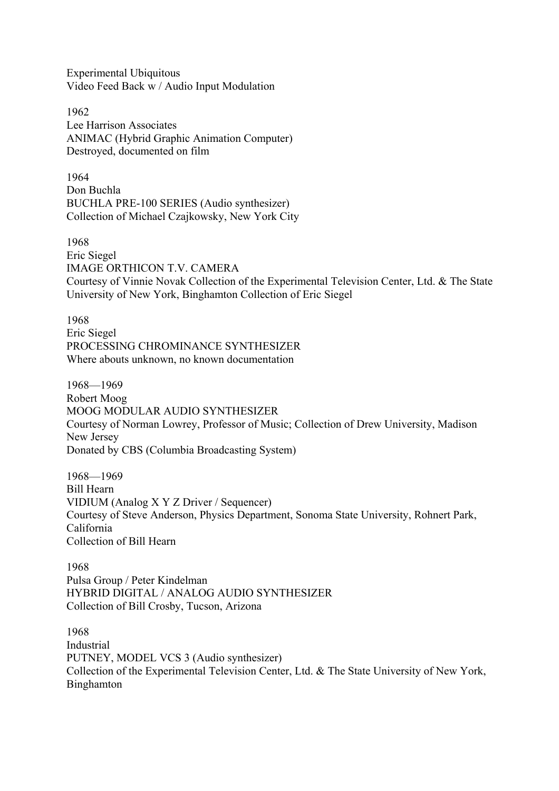Experimental Ubiquitous Video Feed Back w / Audio Input Modulation

1962 Lee Harrison Associates ANIMAC (Hybrid Graphic Animation Computer) Destroyed, documented on film

1964 Don Buchla BUCHLA PRE-100 SERIES (Audio synthesizer) Collection of Michael Czajkowsky, New York City

1968 Eric Siegel IMAGE ORTHICON T.V. CAMERA Courtesy of Vinnie Novak Collection of the Experimental Television Center, Ltd. & The State University of New York, Binghamton Collection of Eric Siegel

1968 Eric Siegel PROCESSING CHROMINANCE SYNTHESIZER Where abouts unknown, no known documentation

1968—1969 Robert Moog MOOG MODULAR AUDIO SYNTHESIZER Courtesy of Norman Lowrey, Professor of Music; Collection of Drew University, Madison New Jersey Donated by CBS (Columbia Broadcasting System)

1968—1969 Bill Hearn VIDIUM (Analog X Y Z Driver / Sequencer) Courtesy of Steve Anderson, Physics Department, Sonoma State University, Rohnert Park, California Collection of Bill Hearn

1968 Pulsa Group / Peter Kindelman HYBRID DIGITAL / ANALOG AUDIO SYNTHESIZER Collection of Bill Crosby, Tucson, Arizona

1968 Industrial PUTNEY, MODEL VCS 3 (Audio synthesizer) Collection of the Experimental Television Center, Ltd. & The State University of New York, Binghamton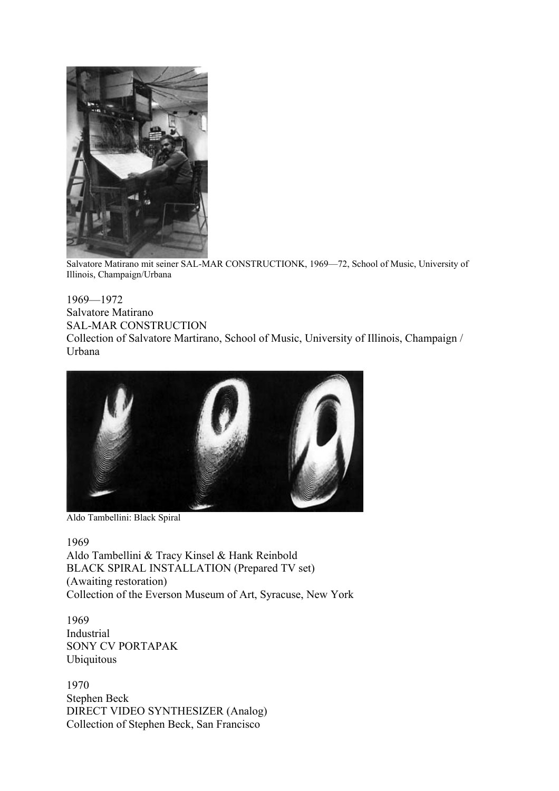

Salvatore Matirano mit seiner SAL-MAR CONSTRUCTIONK, 1969—72, School of Music, University of Illinois, Champaign/Urbana

1969—1972 Salvatore Matirano SAL-MAR CONSTRUCTION Collection of Salvatore Martirano, School of Music, University of Illinois, Champaign / Urbana



Aldo Tambellini: Black Spiral

1969 Aldo Tambellini & Tracy Kinsel & Hank Reinbold BLACK SPIRAL INSTALLATION (Prepared TV set) (Awaiting restoration) Collection of the Everson Museum of Art, Syracuse, New York

1969 Industrial SONY CV PORTAPAK Ubiquitous

1970 Stephen Beck DIRECT VIDEO SYNTHESIZER (Analog) Collection of Stephen Beck, San Francisco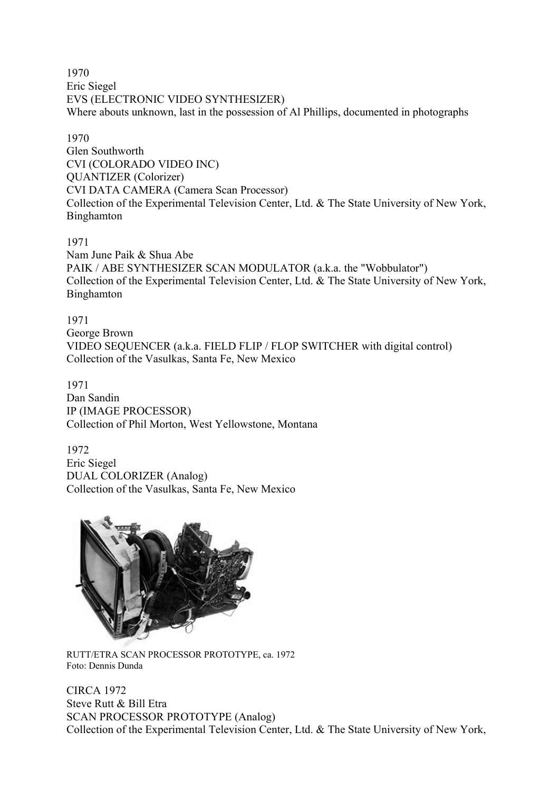1970 Eric Siegel EVS (ELECTRONIC VIDEO SYNTHESIZER) Where abouts unknown, last in the possession of Al Phillips, documented in photographs

1970 Glen Southworth CVI (COLORADO VIDEO INC) QUANTIZER (Colorizer) CVI DATA CAMERA (Camera Scan Processor) Collection of the Experimental Television Center, Ltd. & The State University of New York, Binghamton

1971

Nam June Paik & Shua Abe PAIK / ABE SYNTHESIZER SCAN MODULATOR (a.k.a. the "Wobbulator") Collection of the Experimental Television Center, Ltd. & The State University of New York, Binghamton

1971 George Brown VIDEO SEQUENCER (a.k.a. FIELD FLIP / FLOP SWITCHER with digital control) Collection of the Vasulkas, Santa Fe, New Mexico

1971 Dan Sandin IP (IMAGE PROCESSOR) Collection of Phil Morton, West Yellowstone, Montana

1972 Eric Siegel DUAL COLORIZER (Analog) Collection of the Vasulkas, Santa Fe, New Mexico



RUTT/ETRA SCAN PROCESSOR PROTOTYPE, ca. 1972 Foto: Dennis Dunda

CIRCA 1972 Steve Rutt & Bill Etra SCAN PROCESSOR PROTOTYPE (Analog) Collection of the Experimental Television Center, Ltd. & The State University of New York,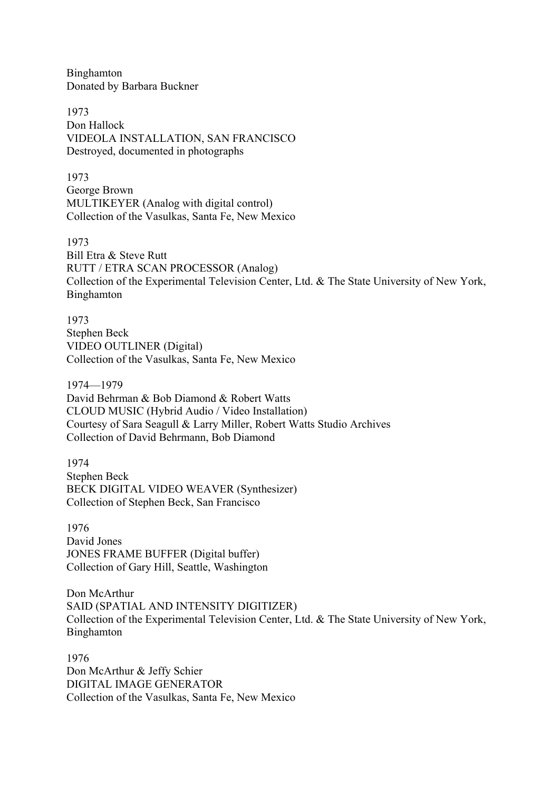Binghamton Donated by Barbara Buckner

1973 Don Hallock VIDEOLA INSTALLATION, SAN FRANCISCO Destroyed, documented in photographs

1973 George Brown MULTIKEYER (Analog with digital control) Collection of the Vasulkas, Santa Fe, New Mexico

1973 Bill Etra & Steve Rutt RUTT / ETRA SCAN PROCESSOR (Analog) Collection of the Experimental Television Center, Ltd. & The State University of New York, Binghamton

1973 Stephen Beck VIDEO OUTLINER (Digital) Collection of the Vasulkas, Santa Fe, New Mexico

1974—1979 David Behrman & Bob Diamond & Robert Watts CLOUD MUSIC (Hybrid Audio / Video Installation) Courtesy of Sara Seagull & Larry Miller, Robert Watts Studio Archives Collection of David Behrmann, Bob Diamond

1974 Stephen Beck BECK DIGITAL VIDEO WEAVER (Synthesizer) Collection of Stephen Beck, San Francisco

1976 David Jones JONES FRAME BUFFER (Digital buffer) Collection of Gary Hill, Seattle, Washington

Don McArthur SAID (SPATIAL AND INTENSITY DIGITIZER) Collection of the Experimental Television Center, Ltd. & The State University of New York, Binghamton

1976 Don McArthur & Jeffy Schier DIGITAL IMAGE GENERATOR Collection of the Vasulkas, Santa Fe, New Mexico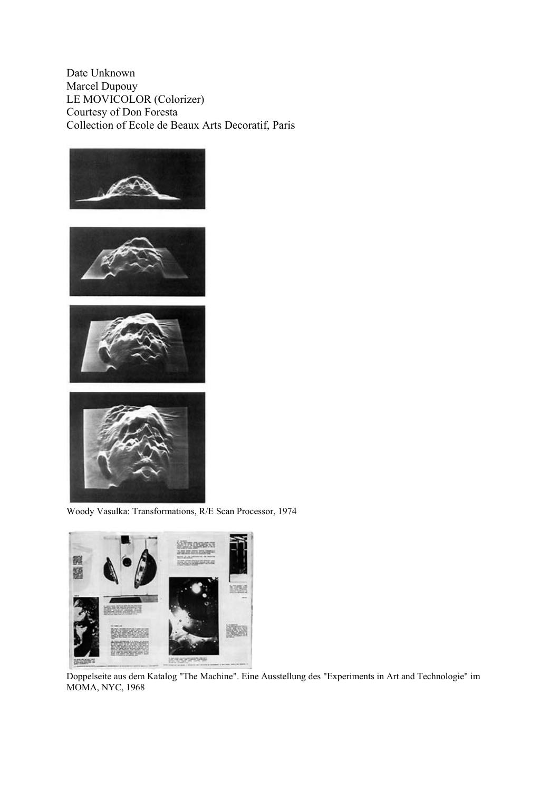Date Unknown Marcel Dupouy LE MOVICOLOR (Colorizer) Courtesy of Don Foresta Collection of Ecole de Beaux Arts Decoratif, Paris









Woody Vasulka: Transformations, R/E Scan Processor, 1974



Doppelseite aus dem Katalog "The Machine". Eine Ausstellung des "Experiments in Art and Technologie" im MOMA, NYC, 1968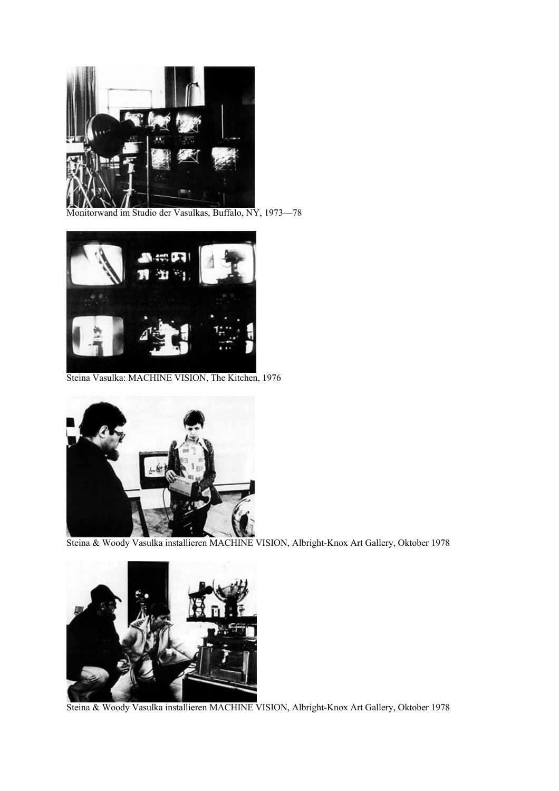

Monitorwand im Studio der Vasulkas, Buffalo, NY, 1973—78



Steina Vasulka: MACHINE VISION, The Kitchen, 1976



Steina & Woody Vasulka installieren MACHINE VISION, Albright-Knox Art Gallery, Oktober 1978



Steina & Woody Vasulka installieren MACHINE VISION, Albright-Knox Art Gallery, Oktober 1978